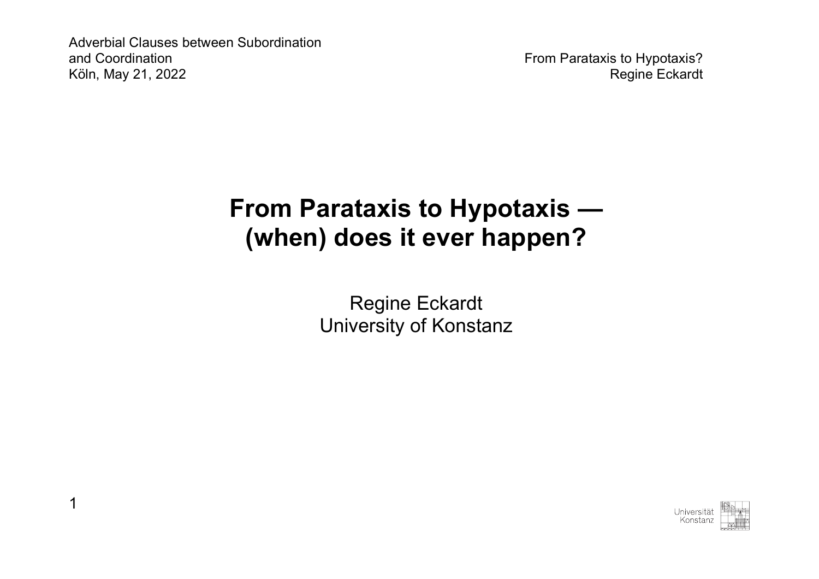1

# **From Parataxis to Hypotaxis — (when) does it ever happen?**

Regine Eckardt University of Konstanz

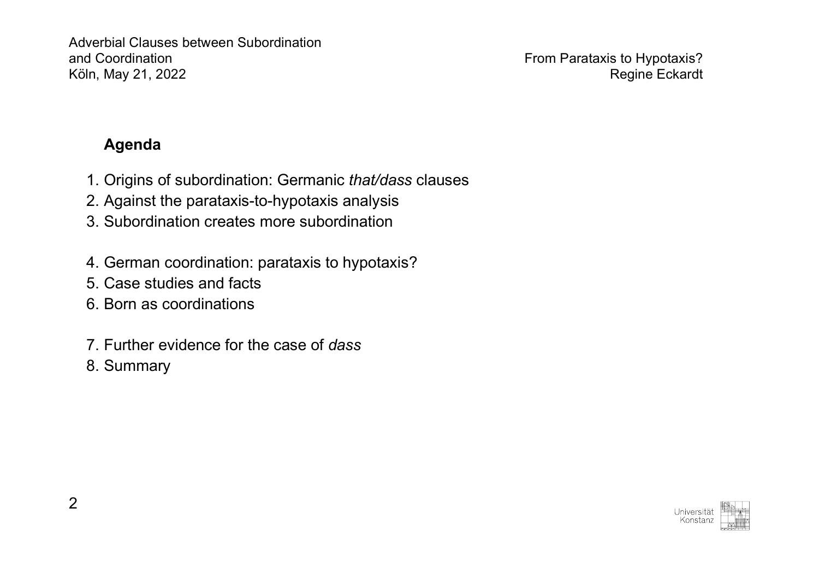# **Agenda**

- 1. Origins of subordination: Germanic *that/dass* clauses
- 2. Against the parataxis-to-hypotaxis analysis
- 3. Subordination creates more subordination
- 4. German coordination: parataxis to hypotaxis?
- 5. Case studies and facts
- 6. Born as coordinations
- 7. Further evidence for the case of *dass*
- 8. Summary

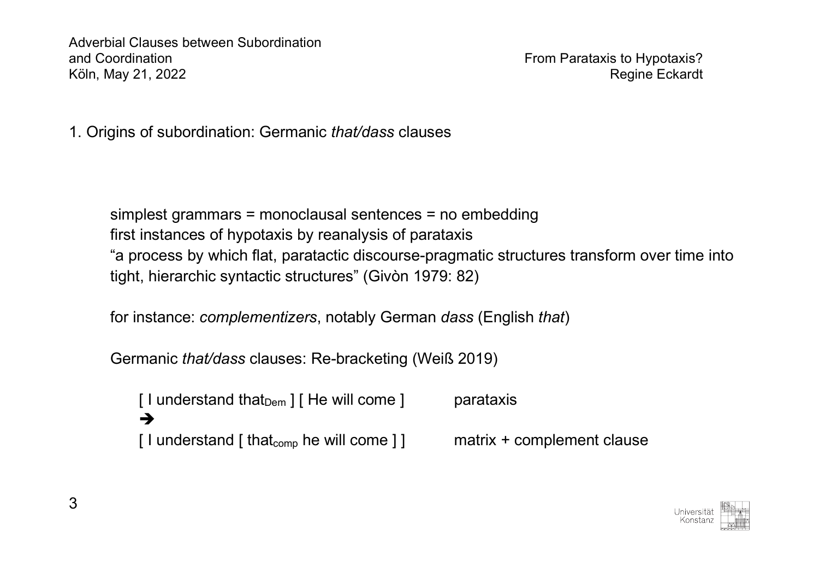1. Origins of subordination: Germanic *that/dass* clauses

simplest grammars = monoclausal sentences = no embedding first instances of hypotaxis by reanalysis of parataxis "a process by which flat, paratactic discourse-pragmatic structures transform over time into tight, hierarchic syntactic structures" (Givòn 1979: 82)

for instance: *complementizers*, notably German *dass* (English *that*)

Germanic *that/dass* clauses: Re-bracketing (Weiß 2019)

[ I understand that $_{\text{Dem}}$  ] [ He will come ] parataxis è [  $\vert$  understand  $\vert$  that<sub>comp</sub> he will come  $\vert$  ] matrix + complement clause

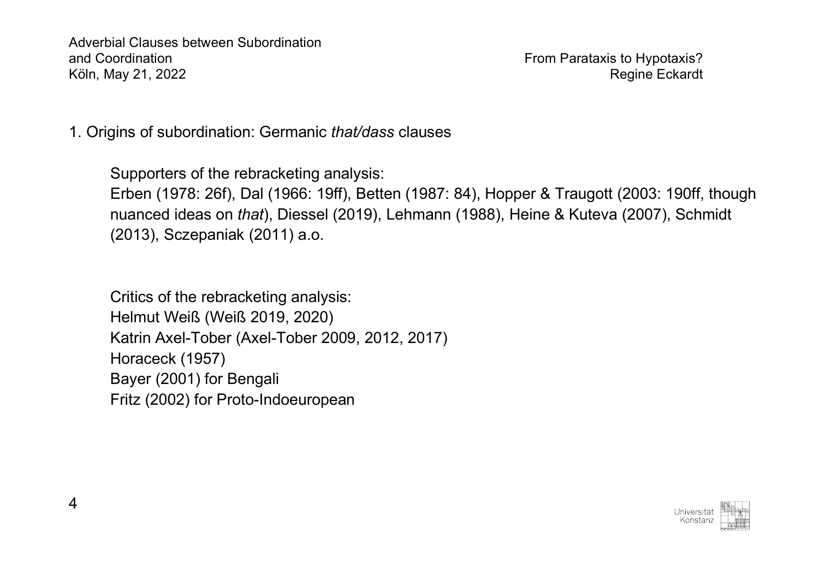1. Origins of subordination: Germanic *that/dass* clauses

Supporters of the rebracketing analysis: Erben (1978: 26f), Dal (1966: 19ff), Betten (1987: 84), Hopper & Traugott (2003: 190ff, though nuanced ideas on *that*), Diessel (2019), Lehmann (1988), Heine & Kuteva (2007), Schmidt (2013), Sczepaniak (2011) a.o.

Critics of the rebracketing analysis: Helmut Weiß (Weiß 2019, 2020) Katrin Axel-Tober (Axel-Tober 2009, 2012, 2017) Horaceck (1957) Bayer (2001) for Bengali Fritz (2002) for Proto-Indoeuropean

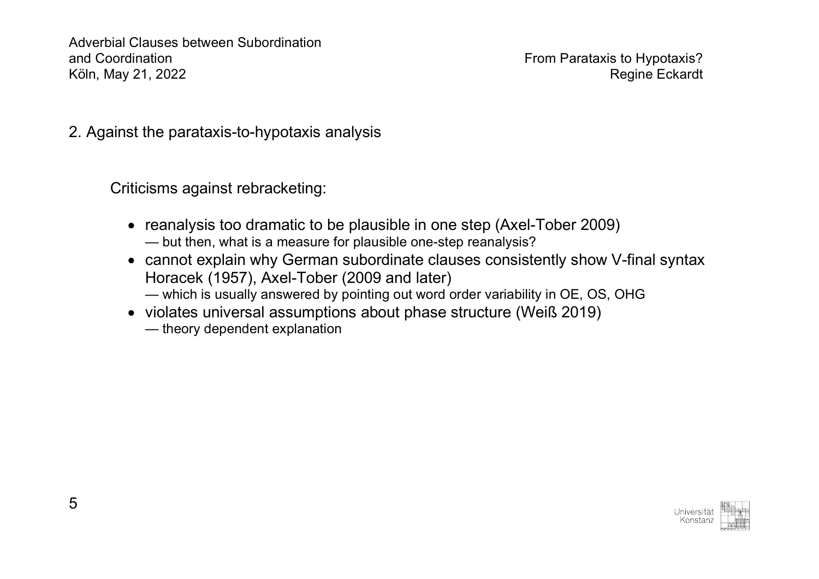2. Against the parataxis-to-hypotaxis analysis

Criticisms against rebracketing:

- reanalysis too dramatic to be plausible in one step (Axel-Tober 2009) — but then, what is a measure for plausible one-step reanalysis?
- cannot explain why German subordinate clauses consistently show V-final syntax Horacek (1957), Axel-Tober (2009 and later)
	- which is usually answered by pointing out word order variability in OE, OS, OHG
- violates universal assumptions about phase structure (Weiß 2019)
	- theory dependent explanation

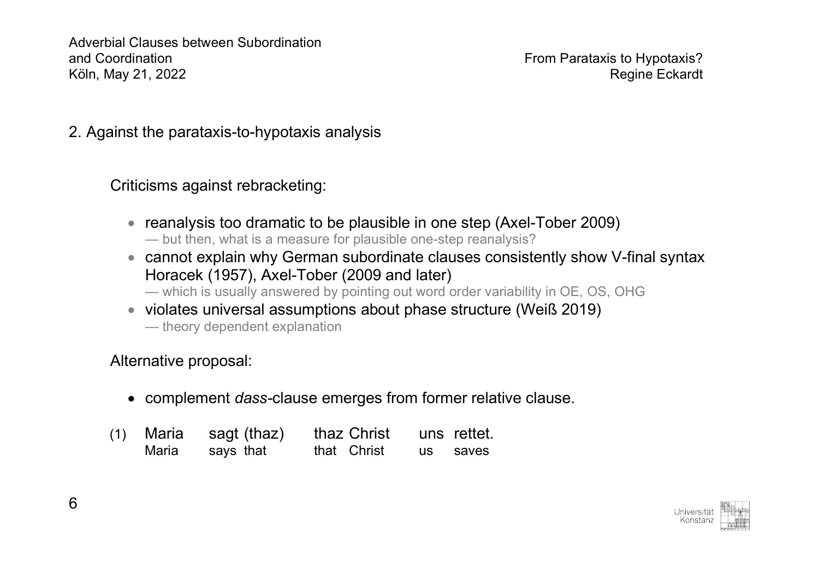2. Against the parataxis-to-hypotaxis analysis

Criticisms against rebracketing:

- reanalysis too dramatic to be plausible in one step (Axel-Tober 2009) — but then, what is a measure for plausible one-step reanalysis?
- cannot explain why German subordinate clauses consistently show V-final syntax Horacek (1957), Axel-Tober (2009 and later)
	- which is usually answered by pointing out word order variability in OE, OS, OHG
- violates universal assumptions about phase structure (Weiß 2019)
	- theory dependent explanation

Alternative proposal:

- complement *dass-*clause emerges from former relative clause.
- (1) Maria sagt (thaz) thaz Christ uns rettet. Maria says that that Christ us saves

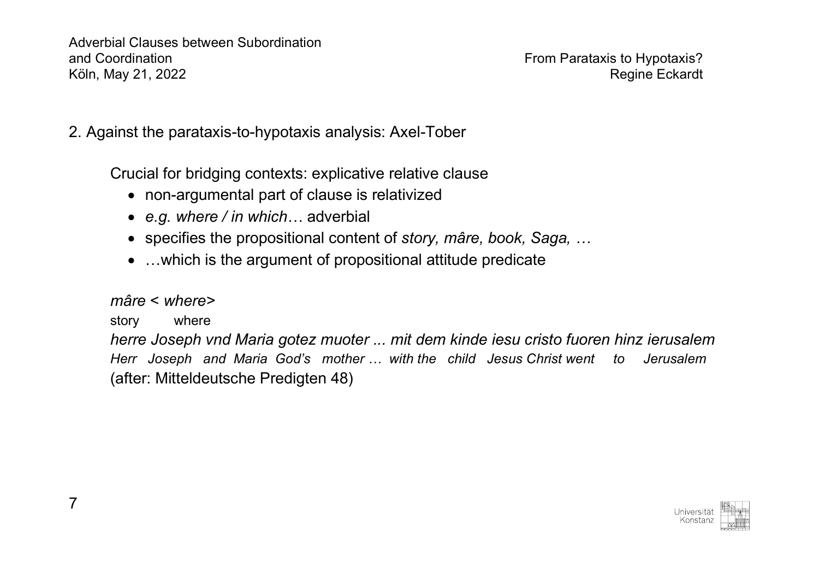2. Against the parataxis-to-hypotaxis analysis: Axel-Tober

Crucial for bridging contexts: explicative relative clause

- non-argumental part of clause is relativized
- *e.g. where / in which…* adverbial
- specifies the propositional content of *story, mâre, book, Saga, …*
- …which is the argument of propositional attitude predicate

### *mâre* < *where>*

## story where

*herre Joseph vnd Maria gotez muoter ... mit dem kinde iesu cristo fuoren hinz ierusalem Herr Joseph and Maria God's mother … with the child Jesus Christ went to Jerusalem* (after: Mitteldeutsche Predigten 48)

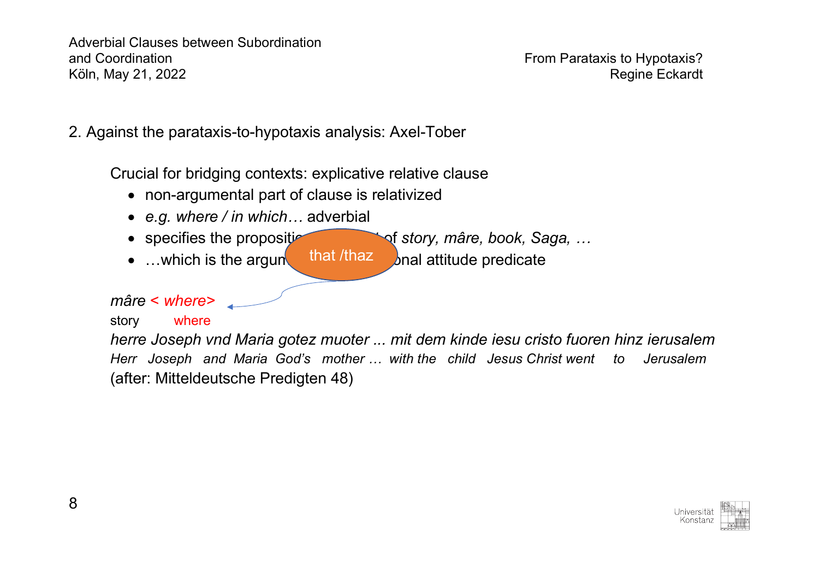2. Against the parataxis-to-hypotaxis analysis: Axel-Tober

Crucial for bridging contexts: explicative relative clause

- non-argumental part of clause is relativized
- *e.g. where / in which…* adverbial
- specifies the propositional content of *story, mâre, book, Saga, …*

that /thaz

• ... which is the argunt that  $\lambda$  that  $\lambda$  hal attitude predicate

*mâre* < *where>*

#### story where

*herre Joseph vnd Maria gotez muoter ... mit dem kinde iesu cristo fuoren hinz ierusalem Herr Joseph and Maria God's mother … with the child Jesus Christ went to Jerusalem* (after: Mitteldeutsche Predigten 48)

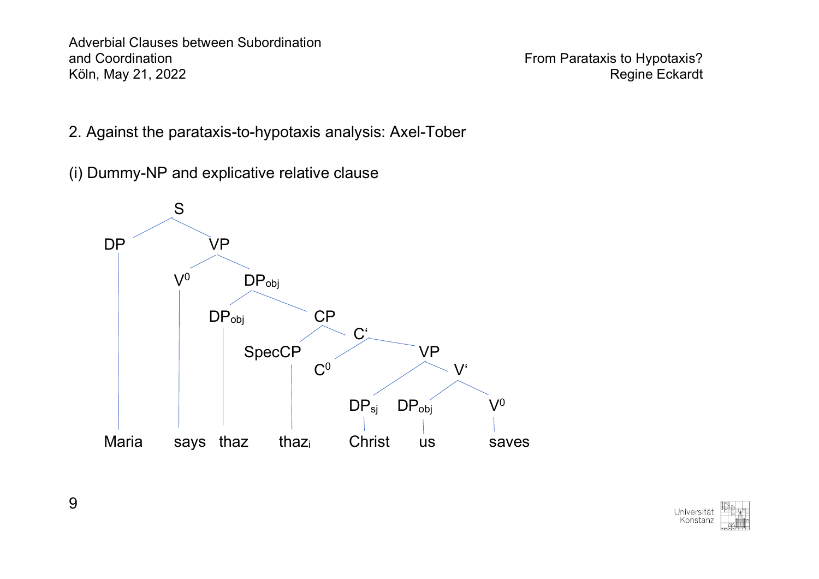- 2. Against the parataxis-to-hypotaxis analysis: Axel-Tober
- (i) Dummy-NP and explicative relative clause



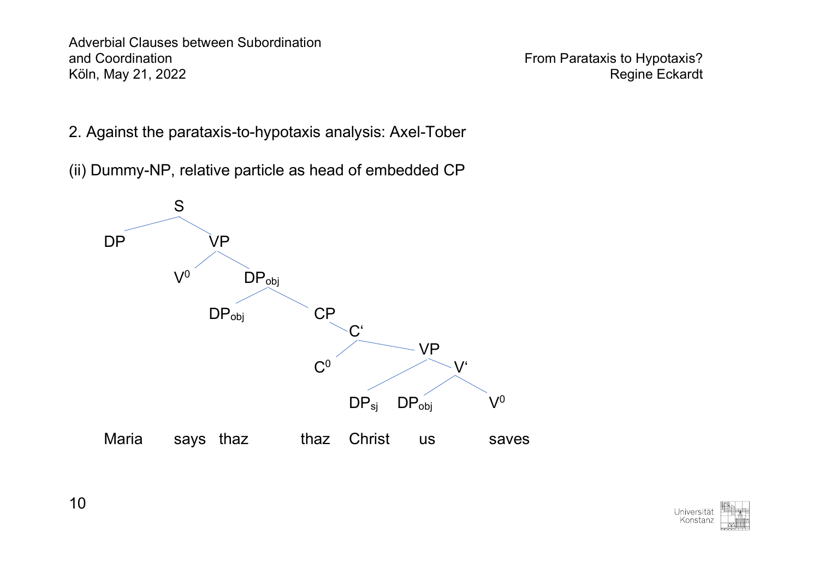- 2. Against the parataxis-to-hypotaxis analysis: Axel-Tober
- (ii) Dummy-NP, relative particle as head of embedded CP



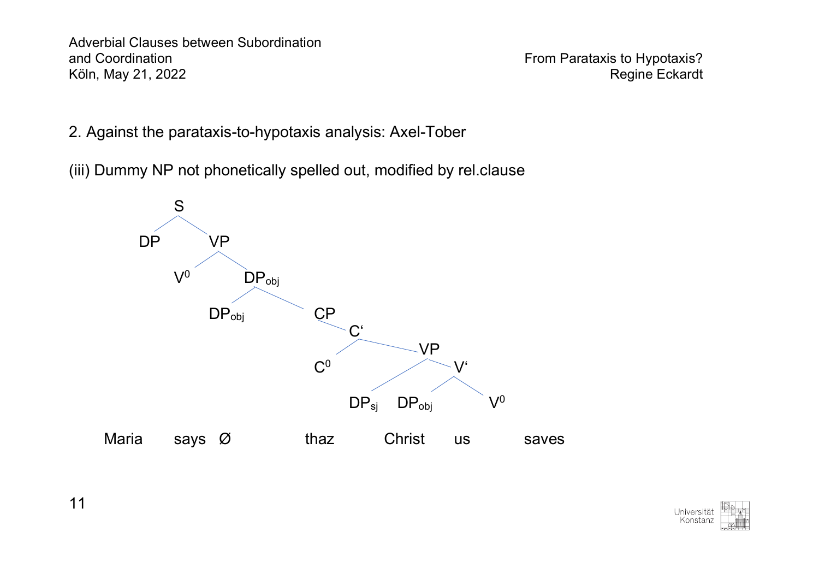- 2. Against the parataxis-to-hypotaxis analysis: Axel-Tober
- (iii) Dummy NP not phonetically spelled out, modified by rel.clause



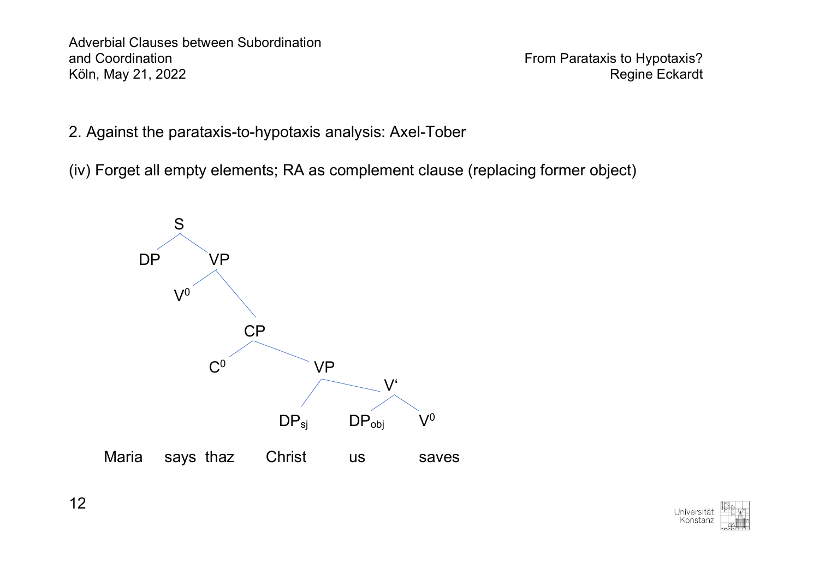2. Against the parataxis-to-hypotaxis analysis: Axel-Tober

(iv) Forget all empty elements; RA as complement clause (replacing former object)



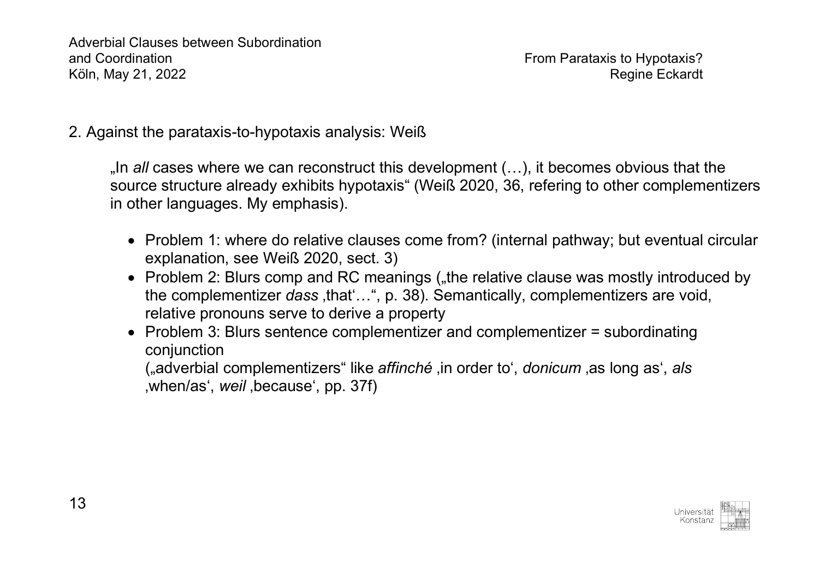2. Against the parataxis-to-hypotaxis analysis: Weiß

"In *all* cases where we can reconstruct this development (…), it becomes obvious that the source structure already exhibits hypotaxis" (Weiß 2020, 36, refering to other complementizers in other languages. My emphasis).

- Problem 1: where do relative clauses come from? (internal pathway; but eventual circular explanation, see Weiß 2020, sect. 3)
- Problem 2: Blurs comp and RC meanings ("the relative clause was mostly introduced by the complementizer *dass*, that '...", p. 38). Semantically, complementizers are void, relative pronouns serve to derive a property
- Problem 3: Blurs sentence complementizer and complementizer = subordinating conjunction

("adverbial complementizers" like *affinché* 'in order to', *donicum* 'as long as', *als* when/as', *weil*, because', pp. 37f).

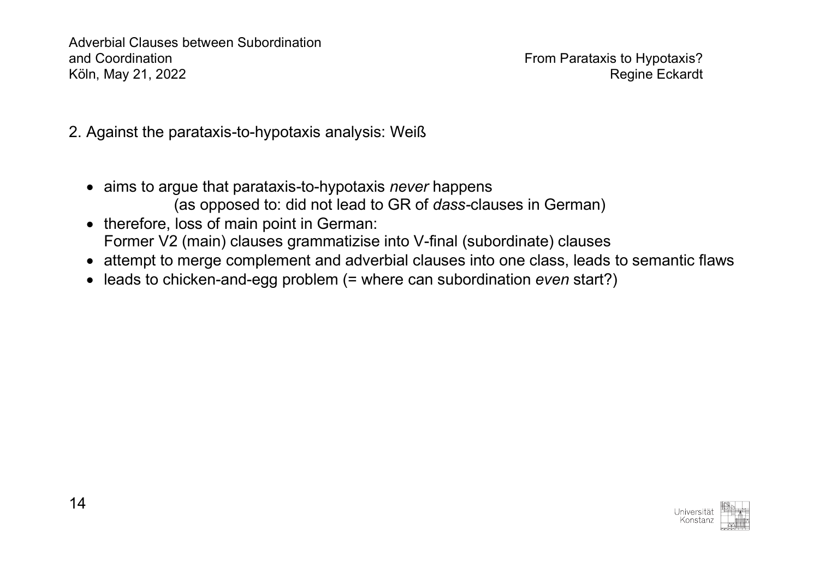- 2. Against the parataxis-to-hypotaxis analysis: Weiß
	- aims to argue that parataxis-to-hypotaxis *never* happens (as opposed to: did not lead to GR of *dass-*clauses in German)
	- therefore, loss of main point in German: Former V2 (main) clauses grammatizise into V-final (subordinate) clauses
	- attempt to merge complement and adverbial clauses into one class, leads to semantic flaws
	- leads to chicken-and-egg problem (= where can subordination *even* start?)

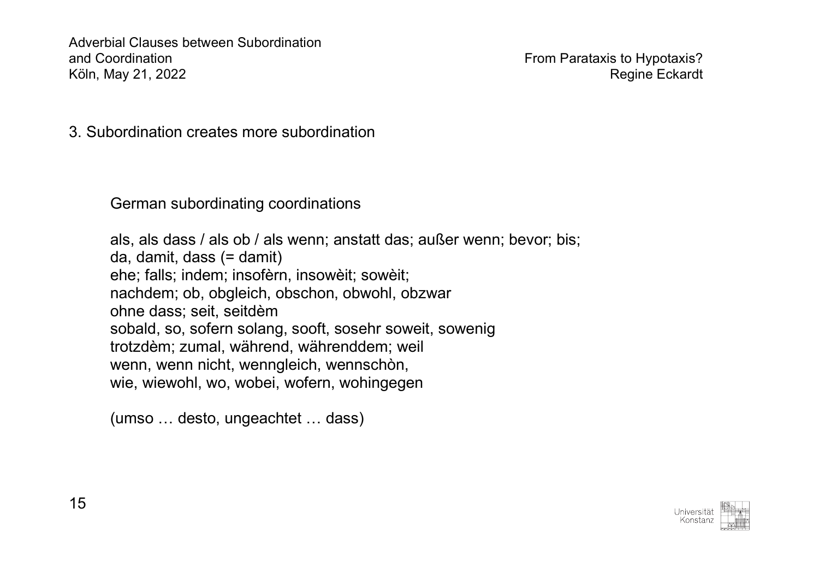3. Subordination creates more subordination

German subordinating coordinations

als, als dass / als ob / als wenn; anstatt das; außer wenn; bevor; bis; da, damit, dass (= damit) ehe; falls; indem; insofèrn, insowèit; sowèit; nachdem; ob, obgleich, obschon, obwohl, obzwar ohne dass; seit, seitdèm sobald, so, sofern solang, sooft, sosehr soweit, sowenig trotzdèm; zumal, während, währenddem; weil wenn, wenn nicht, wenngleich, wennschòn, wie, wiewohl, wo, wobei, wofern, wohingegen

(umso … desto, ungeachtet … dass)

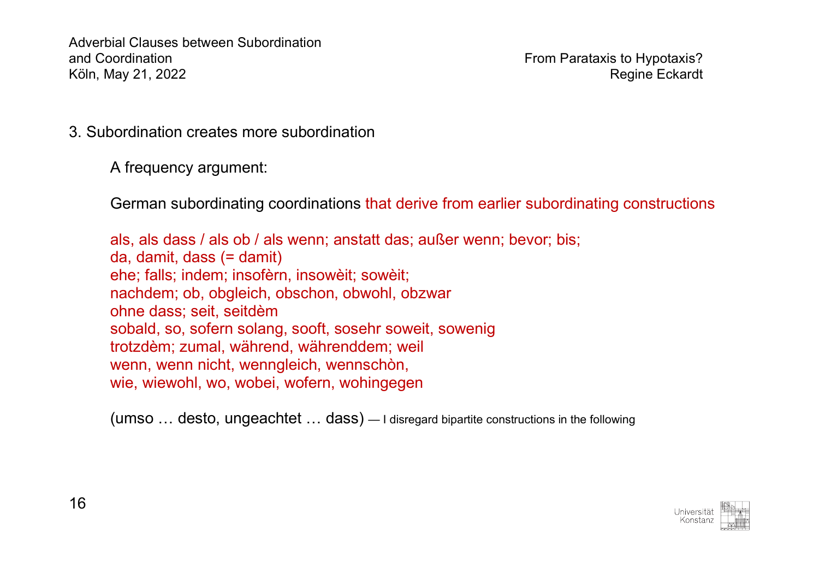3. Subordination creates more subordination

A frequency argument:

German subordinating coordinations that derive from earlier subordinating constructions

als, als dass / als ob / als wenn; anstatt das; außer wenn; bevor; bis; da, damit, dass (= damit) ehe; falls; indem; insofèrn, insowèit; sowèit; nachdem; ob, obgleich, obschon, obwohl, obzwar ohne dass; seit, seitdèm sobald, so, sofern solang, sooft, sosehr soweit, sowenig trotzdèm; zumal, während, währenddem; weil wenn, wenn nicht, wenngleich, wennschòn, wie, wiewohl, wo, wobei, wofern, wohingegen

(umso … desto, ungeachtet … dass) — I disregard bipartite constructions in the following

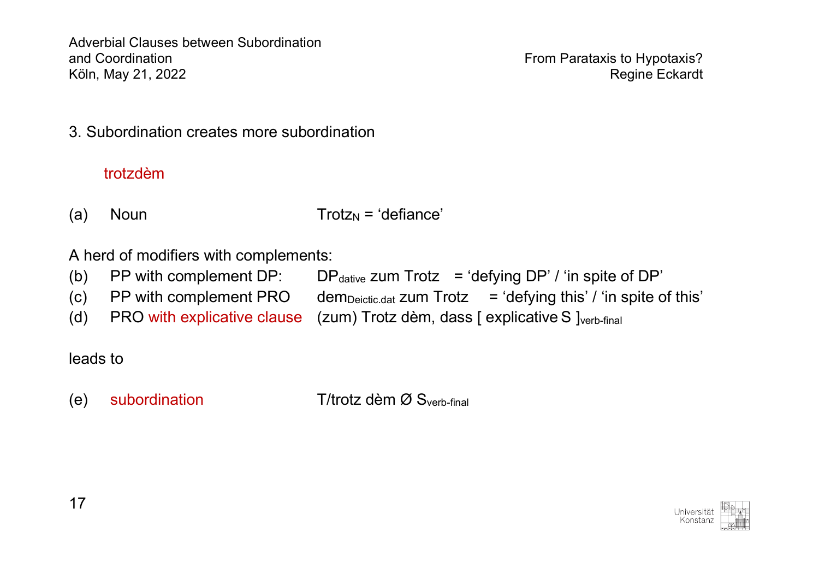3. Subordination creates more subordination

# trotzdèm

(a) Noun  $\text{Total} = \text{Total}$ 

A herd of modifiers with complements:

- (b) PP with complement DP: DP $_{\text{dative}}$  zum Trotz = 'defying DP' / 'in spite of DP'
- (c) PP with complement PRO dem<sub>Deictic.dat</sub> zum Trotz = 'defying this' / 'in spite of this'
- (d) PRO with explicative clause  $(zum)$  Trotz dèm, dass  $\lceil$  explicative S  $\lceil$ <sub>verb-final</sub>

leads to

(e) subordination  $T/trotz$  dèm  $\varnothing$  S<sub>verb-final</sub>

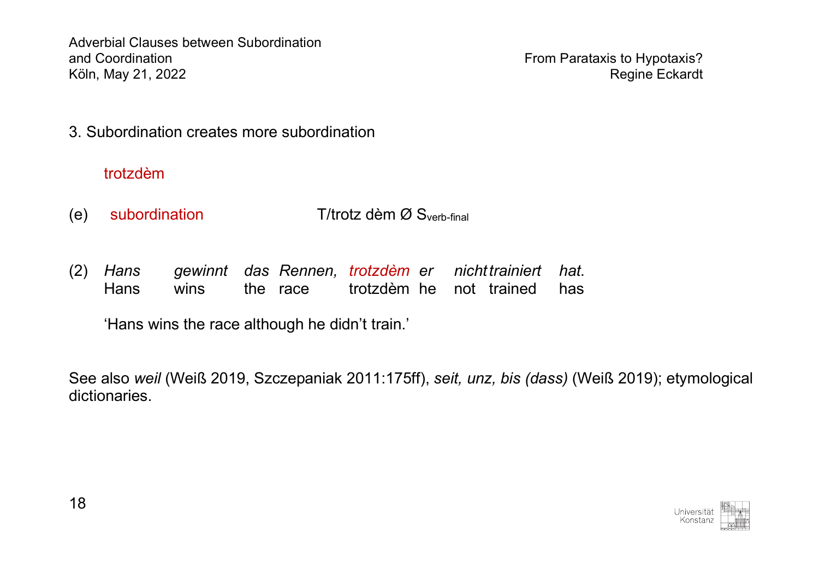3. Subordination creates more subordination

## trotzdèm

- (e) subordination  $T/trotz$  dèm  $\varnothing$  S<sub>verb-final</sub>
- (2) *Hans gewinnt das Rennen, trotzdèm er nichttrainiert hat.* Hans wins the race trotzdèm he not trained has

'Hans wins the race although he didn't train.'

See also *weil* (Weiß 2019, Szczepaniak 2011:175ff), *seit, unz, bis (dass)* (Weiß 2019); etymological dictionaries.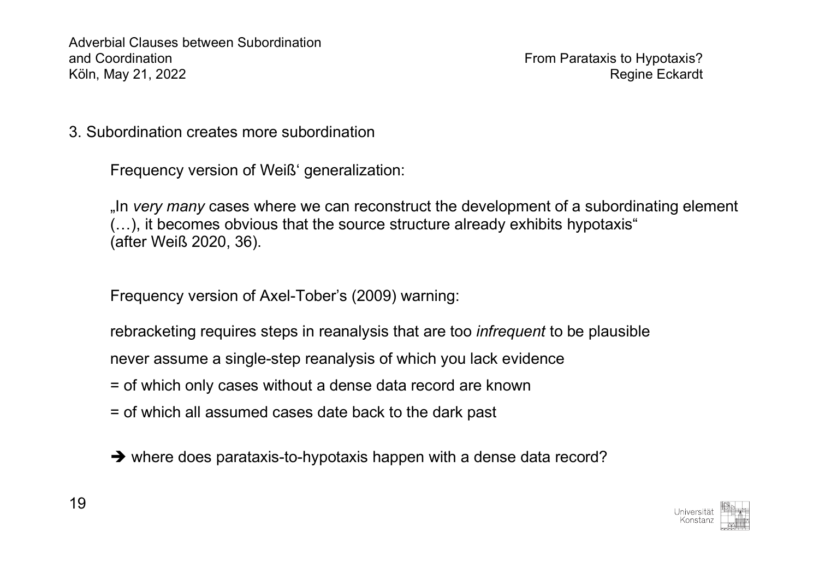3. Subordination creates more subordination

Frequency version of Weiß' generalization:

"In *very many* cases where we can reconstruct the development of a subordinating element (…), it becomes obvious that the source structure already exhibits hypotaxis" (after Weiß 2020, 36).

Frequency version of Axel-Tober's (2009) warning:

rebracketing requires steps in reanalysis that are too *infrequent* to be plausible

never assume a single-step reanalysis of which you lack evidence

- = of which only cases without a dense data record are known
- = of which all assumed cases date back to the dark past
- $\rightarrow$  where does parataxis-to-hypotaxis happen with a dense data record?

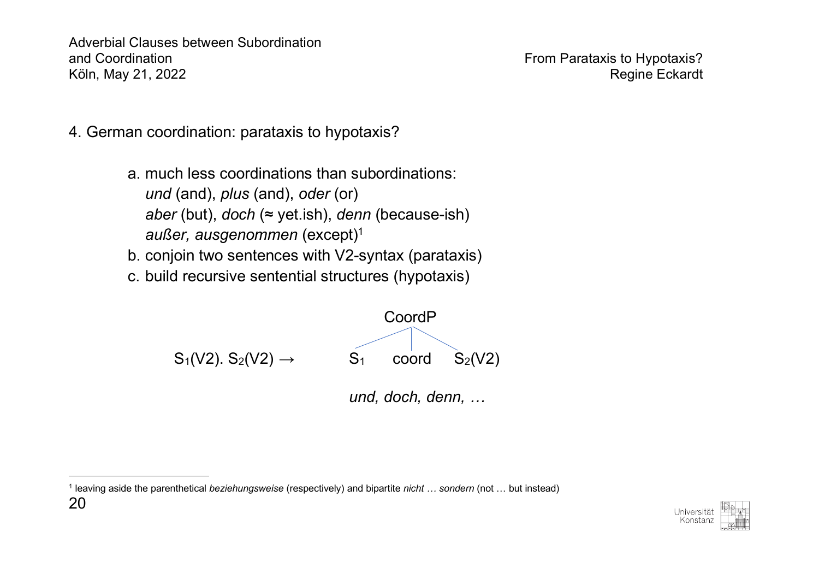- 4. German coordination: parataxis to hypotaxis?
	- a. much less coordinations than subordinations: *und* (and), *plus* (and), *oder* (or) *aber* (but), *doch* (≈ yet.ish), *denn* (because-ish) *außer, ausgenommen* (except)1
	- b. conjoin two sentences with V2-syntax (parataxis)
	- c. build recursive sentential structures (hypotaxis)



*und, doch, denn, …*

20 <sup>1</sup> leaving aside the parenthetical *beziehungsweise* (respectively) and bipartite *nicht … sondern* (not … but instead)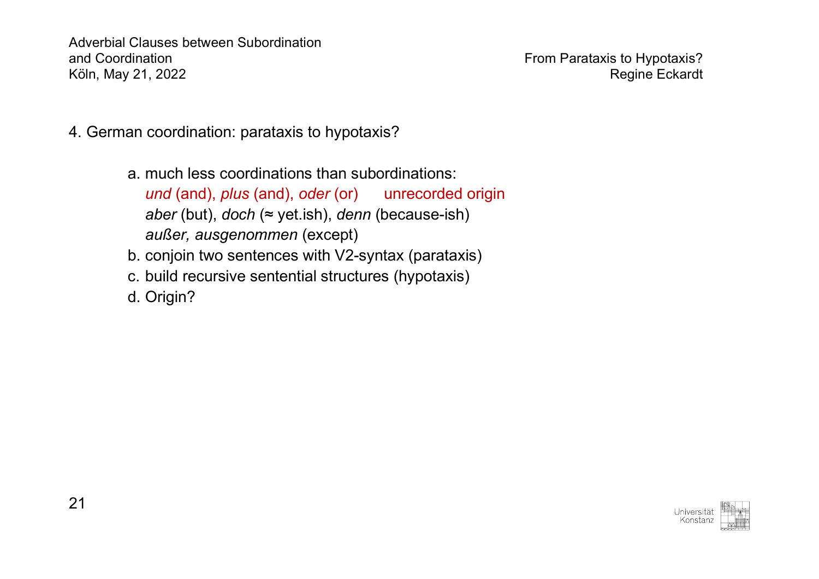- 4. German coordination: parataxis to hypotaxis?
	- a. much less coordinations than subordinations: *und* (and), *plus* (and), *oder* (or) unrecorded origin *aber* (but), *doch* (≈ yet.ish), *denn* (because-ish) *außer, ausgenommen* (except)
	- b. conjoin two sentences with V2-syntax (parataxis)
	- c. build recursive sentential structures (hypotaxis)
	- d. Origin?

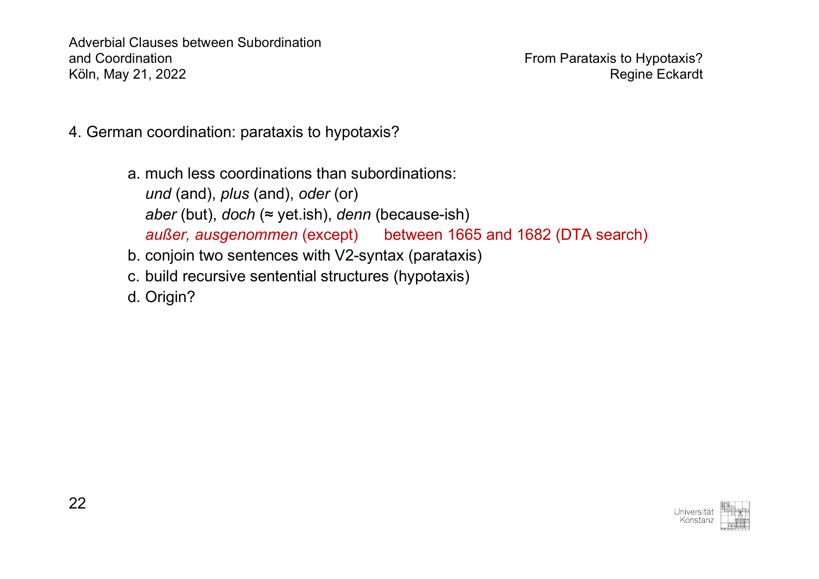- 4. German coordination: parataxis to hypotaxis?
	- a. much less coordinations than subordinations: *und* (and), *plus* (and), *oder* (or) *aber* (but), *doch* (≈ yet.ish), *denn* (because-ish) *außer, ausgenommen* (except) between 1665 and 1682 (DTA search)
	- b. conjoin two sentences with V2-syntax (parataxis)
	- c. build recursive sentential structures (hypotaxis)
	- d. Origin?

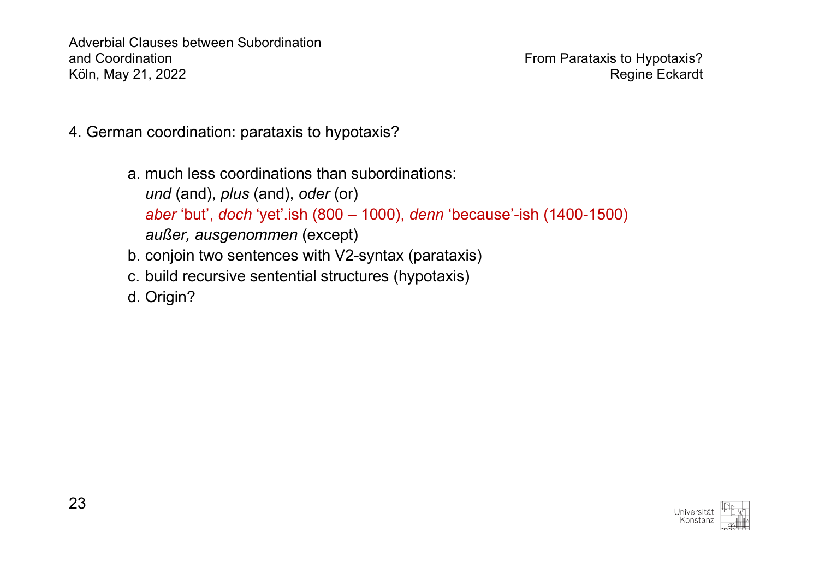- 4. German coordination: parataxis to hypotaxis?
	- a. much less coordinations than subordinations: *und* (and), *plus* (and), *oder* (or) *aber* 'but', *doch* 'yet'.ish (800 – 1000), *denn* 'because'-ish (1400-1500) *außer, ausgenommen* (except)
	- b. conjoin two sentences with V2-syntax (parataxis)
	- c. build recursive sentential structures (hypotaxis)
	- d. Origin?

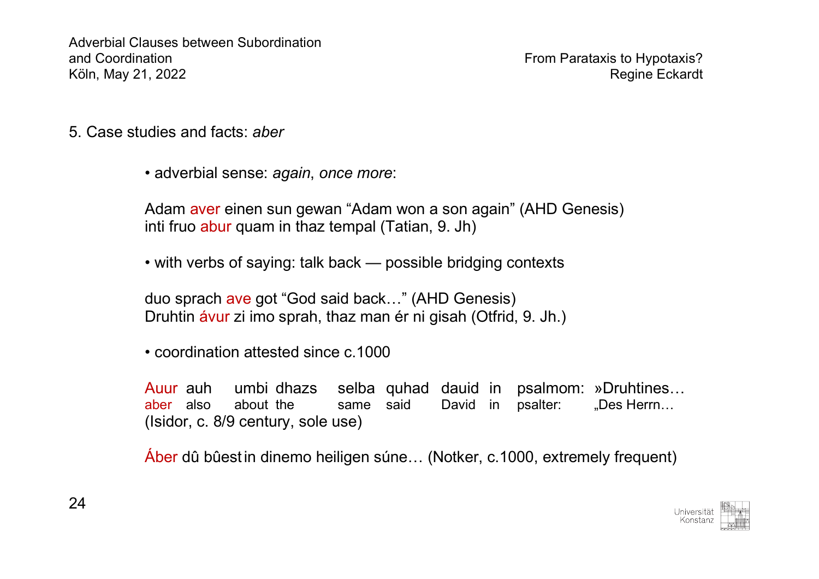- 5. Case studies and facts: *aber*
	- adverbial sense: *again*, *once more*:

Adam aver einen sun gewan "Adam won a son again" (AHD Genesis) inti fruo abur quam in thaz tempal (Tatian, 9. Jh)

• with verbs of saying: talk back — possible bridging contexts

duo sprach ave got "God said back…" (AHD Genesis) Druhtin ávur zi imo sprah, thaz man ér ni gisah (Otfrid, 9. Jh.)

• coordination attested since c. 1000

Auur auh umbi dhazs selba quhad dauid in psalmom: »Druhtines… aber also about the same said David in psalter: "Des Herrn... (Isidor, c. 8/9 century, sole use)

Áber dû bûest in dinemo heiligen súne… (Notker, c.1000, extremely frequent)

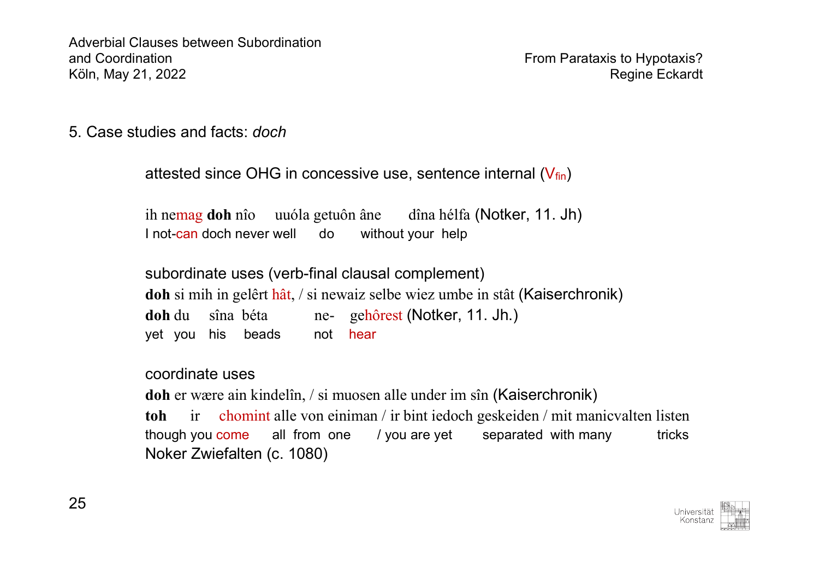5. Case studies and facts: *doch*

```
attested since OHG in concessive use, sentence internal (V_{fin})ih nemag doh nîo uuóla getuôn âne dîna hélfa (Notker, 11. Jh)
I not-can doch never well do without your help
subordinate uses (verb-final clausal complement)
doh si mih in gelêrt hât, / si newaiz selbe wiez umbe in stât (Kaiserchronik)
doh du sîna béta ne- gehôrest (Notker, 11. Jh.)
yet you his beads not hear
```
coordinate uses

**doh** er wære ain kindelîn, / si muosen alle under im sîn (Kaiserchronik) **toh** ir chomint alle von einiman / ir bint iedoch geskeiden / mit manicvalten listen though you come all from one / you are yet separated with many tricks Noker Zwiefalten (c. 1080)

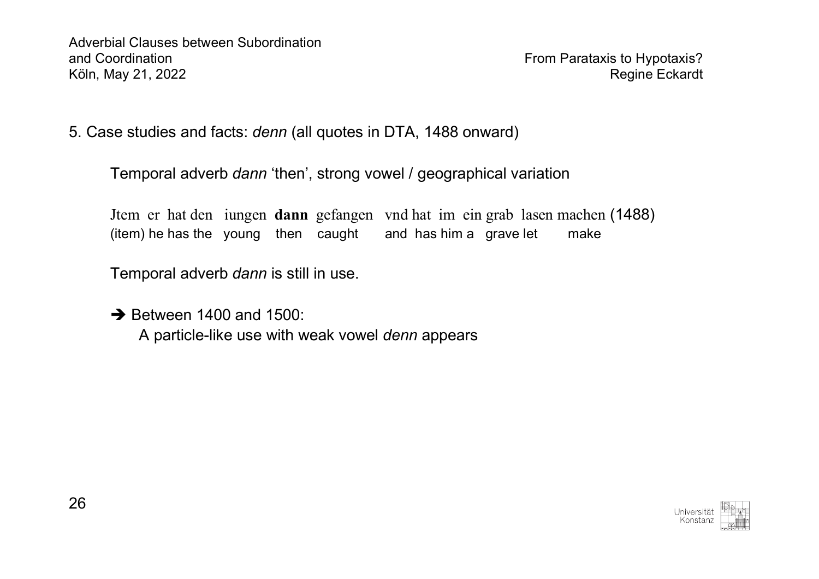5. Case studies and facts: *denn* (all quotes in DTA, 1488 onward)

Temporal adverb *dann* 'then', strong vowel / geographical variation

Jtem er hat den iungen **dann** gefangen vnd hat im ein grab lasen machen (1488) (item) he has the young then caught and has him a grave let make

Temporal adverb *dann* is still in use.

 $\rightarrow$  Between 1400 and 1500: A particle-like use with weak vowel *denn* appears

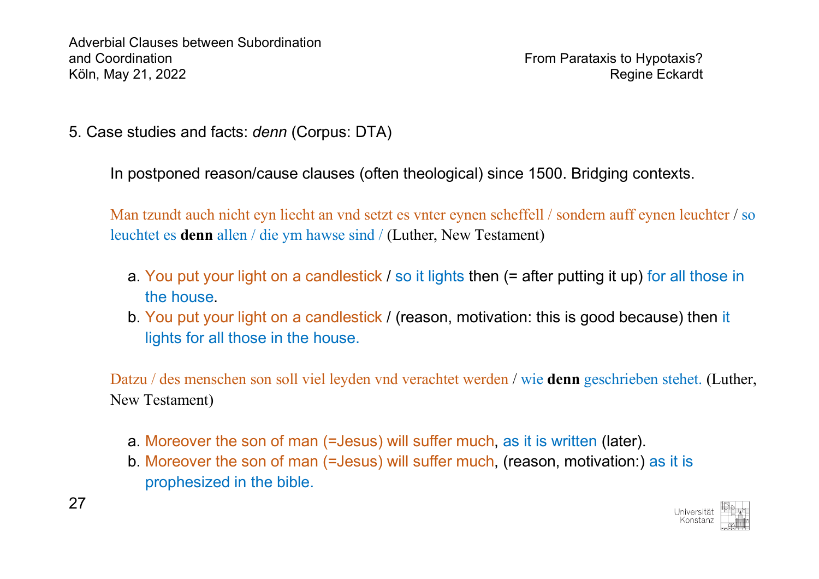5. Case studies and facts: *denn* (Corpus: DTA)

In postponed reason/cause clauses (often theological) since 1500. Bridging contexts.

Man tzundt auch nicht eyn liecht an vnd setzt es vnter eynen scheffell / sondern auff eynen leuchter / so leuchtet es **denn** allen / die ym hawse sind / (Luther, New Testament)

- a. You put your light on a candlestick / so it lights then (= after putting it up) for all those in the house.
- b. You put your light on a candlestick / (reason, motivation: this is good because) then it lights for all those in the house.

Datzu / des menschen son soll viel leyden vnd verachtet werden / wie **denn** geschrieben stehet. (Luther, New Testament)

- a. Moreover the son of man (=Jesus) will suffer much, as it is written (later).
- b. Moreover the son of man (=Jesus) will suffer much, (reason, motivation:) as it is prophesized in the bible.

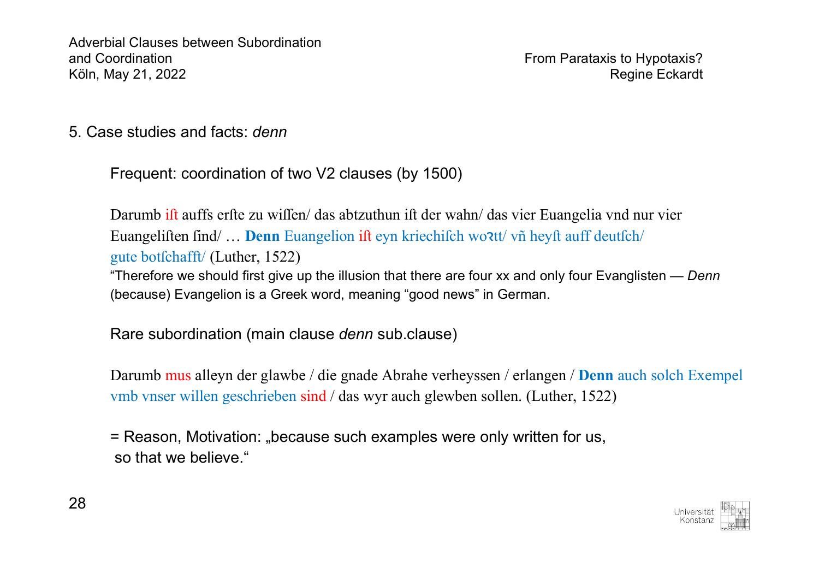5. Case studies and facts: *denn* 

Frequent: coordination of two V2 clauses (by 1500)

Darumb ift auffs erfte zu wiffen/ das abtzuthun ift der wahn/ das vier Euangelia vnd nur vier Euangeliften find/ ... **Denn** Euangelion ift eyn kriechifch woztt/ vñ heyft auff deutfch/ gute bot $f$ chafft/ (Luther, 1522) "Therefore we should first give up the illusion that there are four xx and only four Evanglisten — *Denn*  (because) Evangelion is a Greek word, meaning "good news" in German.

Rare subordination (main clause *denn* sub.clause)

Darumb mus alleyn der glawbe / die gnade Abrahe verheyssen / erlangen / **Denn** auch solch Exempel vmb vnser willen geschrieben sind / das wyr auch glewben sollen. (Luther, 1522)

= Reason, Motivation: "because such examples were only written for us, so that we believe."

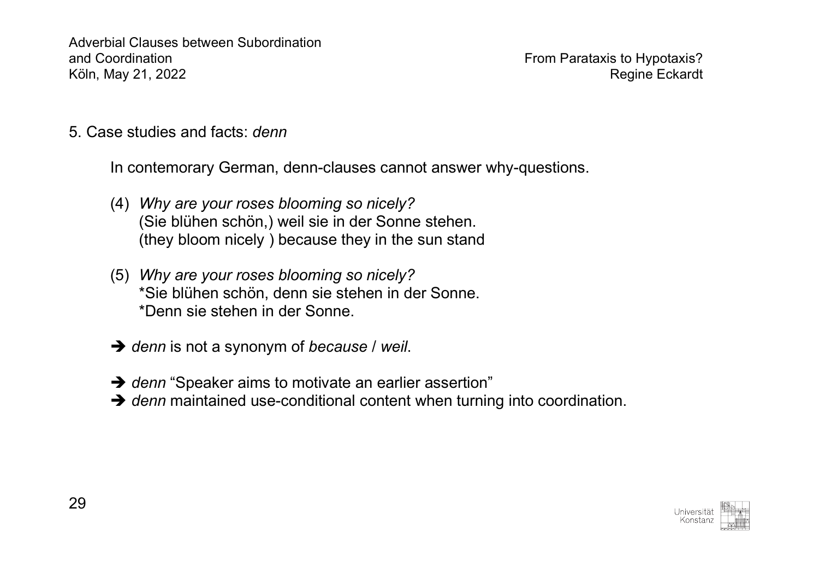5. Case studies and facts: *denn*

In contemorary German, denn-clauses cannot answer why-questions.

- (4) *Why are your roses blooming so nicely?* (Sie blühen schön,) weil sie in der Sonne stehen. (they bloom nicely ) because they in the sun stand
- (5) *Why are your roses blooming so nicely?* \*Sie blühen schön, denn sie stehen in der Sonne. \*Denn sie stehen in der Sonne.
- $→$  *denn* is not a synonym of *because* / *weil.*
- **→** denn "Speaker aims to motivate an earlier assertion"
- $\rightarrow$  *denn* maintained use-conditional content when turning into coordination.

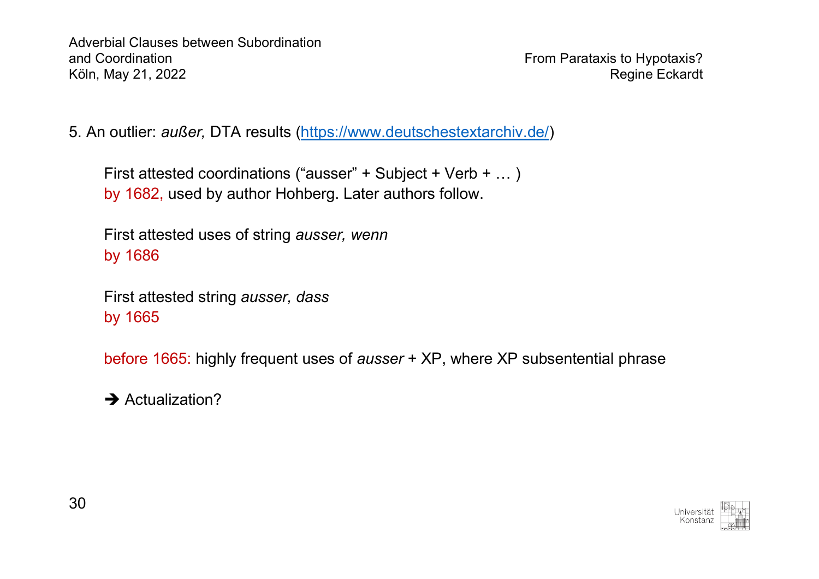5. An outlier: *außer,* DTA results (https://www.deutschestextarchiv.de/)

```
First attested coordinations ("ausser" + Subject + Verb + … )
by 1682, used by author Hohberg. Later authors follow.
```
First attested uses of string *ausser, wenn* by 1686

First attested string *ausser, dass* by 1665

before 1665: highly frequent uses of *ausser* + XP, where XP subsentential phrase

 $\rightarrow$  Actualization?

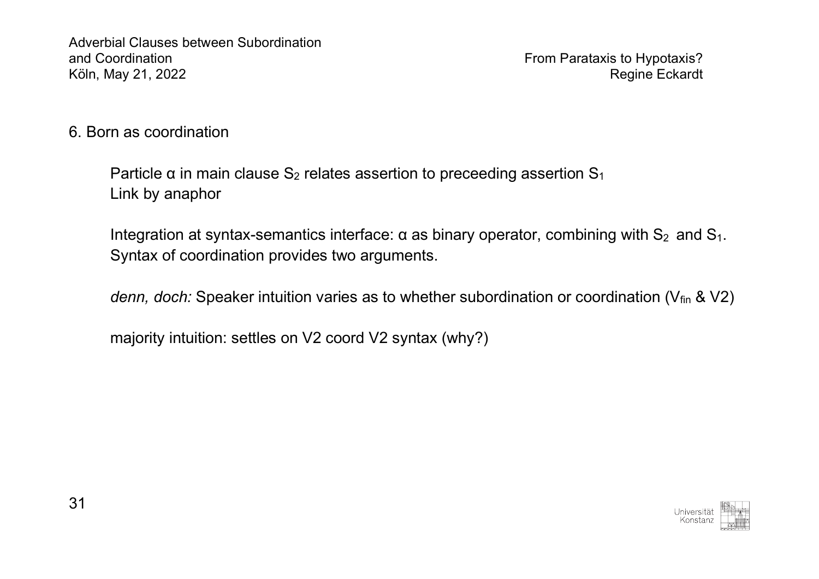6. Born as coordination

Particle  $\alpha$  in main clause S<sub>2</sub> relates assertion to preceeding assertion S<sub>1</sub> Link by anaphor

Integration at syntax-semantics interface:  $\alpha$  as binary operator, combining with  $S_2$  and  $S_1$ . Syntax of coordination provides two arguments.

*denn, doch:* Speaker intuition varies as to whether subordination or coordination (V<sub>fin</sub> & V2)

majority intuition: settles on V2 coord V2 syntax (why?)

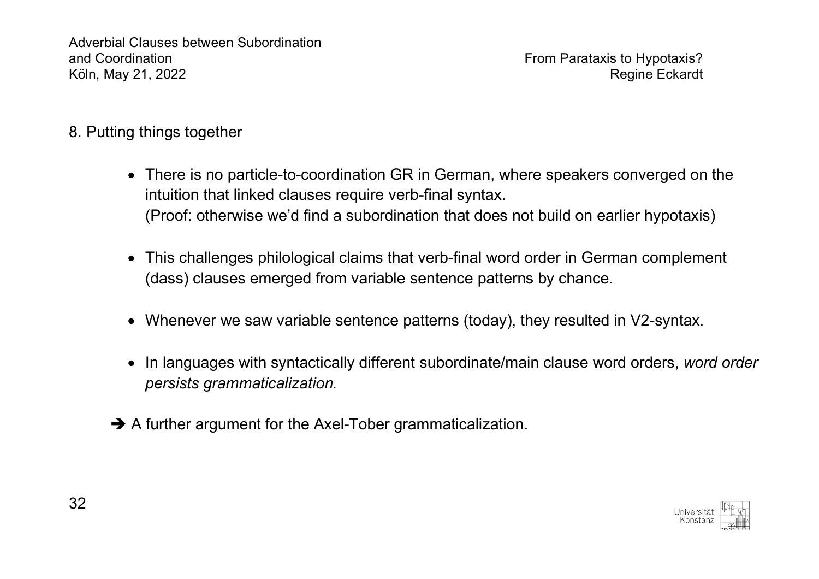- 8. Putting things together
	- There is no particle-to-coordination GR in German, where speakers converged on the intuition that linked clauses require verb-final syntax. (Proof: otherwise we'd find a subordination that does not build on earlier hypotaxis)
	- This challenges philological claims that verb-final word order in German complement (dass) clauses emerged from variable sentence patterns by chance.
	- Whenever we saw variable sentence patterns (today), they resulted in V2-syntax.
	- In languages with syntactically different subordinate/main clause word orders, *word order persists grammaticalization.*
	- $\rightarrow$  A further argument for the Axel-Tober grammaticalization.

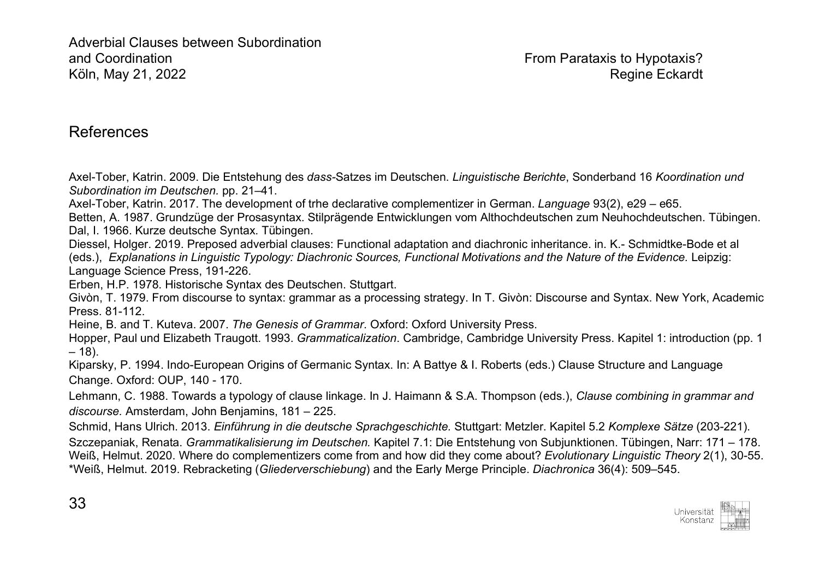## References

Axel-Tober, Katrin. 2009. Die Entstehung des *dass-*Satzes im Deutschen. *Linguistische Berichte*, Sonderband 16 *Koordination und Subordination im Deutschen.* pp. 21–41.

Axel-Tober, Katrin. 2017. The development of trhe declarative complementizer in German. *Language* 93(2), e29 – e65.

Betten, A. 1987. Grundzüge der Prosasyntax. Stilprägende Entwicklungen vom Althochdeutschen zum Neuhochdeutschen. Tübingen. Dal, I. 1966. Kurze deutsche Syntax. Tübingen.

Diessel, Holger. 2019. Preposed adverbial clauses: Functional adaptation and diachronic inheritance. in. K.- Schmidtke-Bode et al (eds.), *Explanations in Linguistic Typology: Diachronic Sources, Functional Motivations and the Nature of the Evidence.* Leipzig: Language Science Press, 191-226.

Erben, H.P. 1978. Historische Syntax des Deutschen. Stuttgart.

Givòn, T. 1979. From discourse to syntax: grammar as a processing strategy. In T. Givòn: Discourse and Syntax. New York, Academic Press. 81-112.

Heine, B. and T. Kuteva. 2007. *The Genesis of Grammar*. Oxford: Oxford University Press.

Hopper, Paul und Elizabeth Traugott. 1993. *Grammaticalization*. Cambridge, Cambridge University Press. Kapitel 1: introduction (pp. 1 – 18).

Kiparsky, P. 1994. Indo-European Origins of Germanic Syntax. In: A Battye & I. Roberts (eds.) Clause Structure and Language Change. Oxford: OUP, 140 - 170.

Lehmann, C. 1988. Towards a typology of clause linkage. In J. Haimann & S.A. Thompson (eds.), *Clause combining in grammar and discourse.* Amsterdam, John Benjamins, 181 – 225.

Schmid, Hans Ulrich. 2013. *Einführung in die deutsche Sprachgeschichte.* Stuttgart: Metzler. Kapitel 5.2 *Komplexe Sätze* (203-221).

Szczepaniak, Renata. *Grammatikalisierung im Deutschen.* Kapitel 7.1: Die Entstehung von Subjunktionen. Tübingen, Narr: 171 – 178. Weiß, Helmut. 2020. Where do complementizers come from and how did they come about? *Evolutionary Linguistic Theory* 2(1), 30-55. \*Weiß, Helmut. 2019. Rebracketing (*Gliederverschiebung*) and the Early Merge Principle. *Diachronica* 36(4): 509–545.